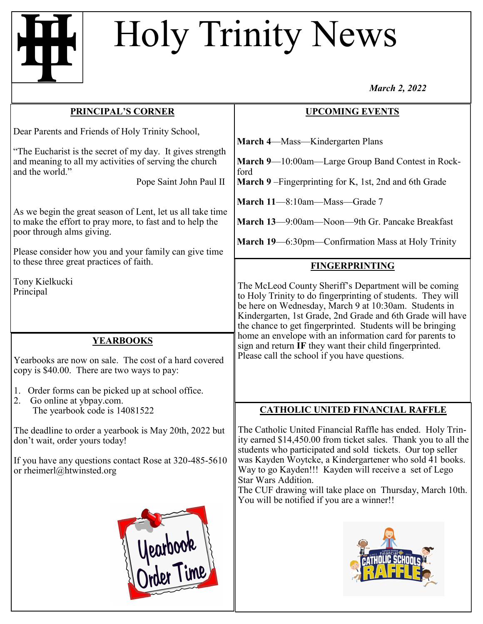## Holy Trinity News

*March 2, 2022*

| <b>PRINCIPAL'S CORNER</b>                                                                                                                                                       | <b>UPCOMING EVENTS</b>                                                                                                                                                                                                                                                                                         |
|---------------------------------------------------------------------------------------------------------------------------------------------------------------------------------|----------------------------------------------------------------------------------------------------------------------------------------------------------------------------------------------------------------------------------------------------------------------------------------------------------------|
| Dear Parents and Friends of Holy Trinity School,                                                                                                                                | March 4—Mass—Kindergarten Plans                                                                                                                                                                                                                                                                                |
| "The Eucharist is the secret of my day. It gives strength<br>and meaning to all my activities of serving the church<br>and the world."                                          | March 9-10:00am-Large Group Band Contest in Rock-<br>ford                                                                                                                                                                                                                                                      |
| Pope Saint John Paul II                                                                                                                                                         | March 9 - Fingerprinting for K, 1st, 2nd and 6th Grade                                                                                                                                                                                                                                                         |
| As we begin the great season of Lent, let us all take time<br>to make the effort to pray more, to fast and to help the<br>poor through alms giving.                             | March 11-8:10am-Mass-Grade 7<br>March 13—9:00am—Noon—9th Gr. Pancake Breakfast                                                                                                                                                                                                                                 |
| Please consider how you and your family can give time                                                                                                                           | March 19—6:30pm—Confirmation Mass at Holy Trinity                                                                                                                                                                                                                                                              |
| to these three great practices of faith.                                                                                                                                        | <b>FINGERPRINTING</b>                                                                                                                                                                                                                                                                                          |
| Tony Kielkucki<br>Principal                                                                                                                                                     | The McLeod County Sheriff's Department will be coming<br>to Holy Trinity to do fingerprinting of students. They will<br>be here on Wednesday, March 9 at 10:30am. Students in<br>Kindergarten, 1st Grade, 2nd Grade and 6th Grade will have<br>the chance to get fingerprinted. Students will be bringing      |
| <b>YEARBOOKS</b><br>Yearbooks are now on sale. The cost of a hard covered<br>copy is \$40.00. There are two ways to pay:                                                        | home an envelope with an information card for parents to<br>sign and return IF they want their child fingerprinted.<br>Please call the school if you have questions.                                                                                                                                           |
| Order forms can be picked up at school office.<br>1.<br>Go online at ybpay.com.<br>2.                                                                                           |                                                                                                                                                                                                                                                                                                                |
| The yearbook code is 14081522                                                                                                                                                   | <b>CATHOLIC UNITED FINANCIAL RAFFLE</b>                                                                                                                                                                                                                                                                        |
| The deadline to order a yearbook is May 20th, 2022 but<br>don't wait, order yours today!<br>If you have any questions contact Rose at 320-485-5610<br>or rheimerl@htwinsted.org | The Catholic United Financial Raffle has ended. Holy Trin-<br>ity earned \$14,450.00 from ticket sales. Thank you to all the<br>students who participated and sold tickets. Our top seller<br>was Kayden Woytcke, a Kindergartener who sold 41 books.<br>Way to go Kayden!!! Kayden will receive a set of Lego |
| Nearbook                                                                                                                                                                        | Star Wars Addition.<br>The CUF drawing will take place on Thursday, March 10th.<br>You will be notified if you are a winner!!                                                                                                                                                                                  |

lune